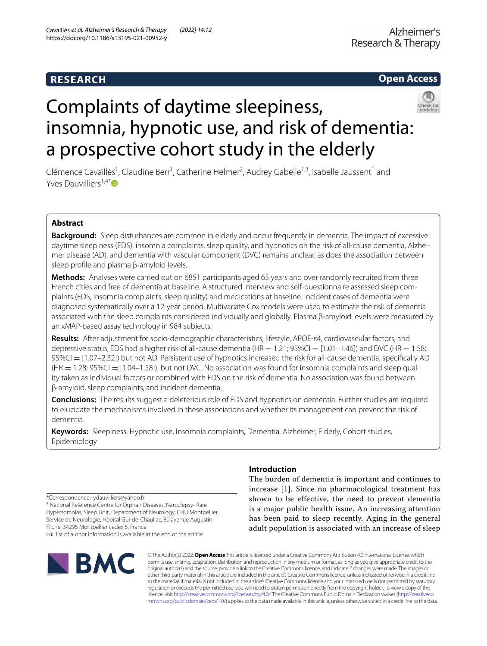## **RESEARCH**

**Open Access**

# Complaints of daytime sleepiness, insomnia, hypnotic use, and risk of dementia: a prospective cohort study in the elderly

Clémence Cavaillès<sup>1</sup>, Claudine Berr<sup>1</sup>, Catherine Helmer<sup>2</sup>, Audrey Gabelle<sup>1,3</sup>, Isabelle Jaussent<sup>1</sup> and Yves Dauvilliers<sup>1,4[\\*](http://orcid.org/0000-0003-0683-6506)</sup> $\bullet$ 

## **Abstract**

**Background:** Sleep disturbances are common in elderly and occur frequently in dementia. The impact of excessive daytime sleepiness (EDS), insomnia complaints, sleep quality, and hypnotics on the risk of all-cause dementia, Alzheimer disease (AD), and dementia with vascular component (DVC) remains unclear, as does the association between sleep profle and plasma β-amyloid levels.

**Methods:** Analyses were carried out on 6851 participants aged 65 years and over randomly recruited from three French cities and free of dementia at baseline. A structured interview and self-questionnaire assessed sleep complaints (EDS, insomnia complaints, sleep quality) and medications at baseline. Incident cases of dementia were diagnosed systematically over a 12-year period. Multivariate Cox models were used to estimate the risk of dementia associated with the sleep complaints considered individually and globally. Plasma β-amyloid levels were measured by an xMAP-based assay technology in 984 subjects.

**Results:** After adjustment for socio-demographic characteristics, lifestyle, APOE-ε4, cardiovascular factors, and depressive status, EDS had a higher risk of all-cause dementia (HR = 1.21;  $95\%$ CI = [1.01-1.46]) and DVC (HR = 1.58; 95%CI = [1.07-2.32]) but not AD. Persistent use of hypnotics increased the risk for all-cause dementia, specifically AD  $(HR = 1.28; 95\% CI = [1.04-1.58])$ , but not DVC. No association was found for insomnia complaints and sleep quality taken as individual factors or combined with EDS on the risk of dementia. No association was found between β-amyloid, sleep complaints, and incident dementia.

**Conclusions:** The results suggest a deleterious role of EDS and hypnotics on dementia. Further studies are required to elucidate the mechanisms involved in these associations and whether its management can prevent the risk of dementia.

**Keywords:** Sleepiness, Hypnotic use, Insomnia complaints, Dementia, Alzheimer, Elderly, Cohort studies, Epidemiology

\*Correspondence: ydauvilliers@yahoo.fr

4 National Reference Centre for Orphan Diseases, Narcolepsy- Rare Hypersomnias, Sleep Unit, Department of Neurology, CHU Montpellier, Service de Neurologie, Hôpital Gui-de-Chauliac, 80 avenue Augustin Fliche, 34295 Montpellier cedex 5, France Full list of author information is available at the end of the article

BMC

## **Introduction**

The burden of dementia is important and continues to increase [\[1](#page-11-0)]. Since no pharmacological treatment has shown to be effective, the need to prevent dementia is a major public health issue. An increasing attention has been paid to sleep recently. Aging in the general adult population is associated with an increase of sleep

© The Author(s) 2022. **Open Access** This article is licensed under a Creative Commons Attribution 4.0 International License, which permits use, sharing, adaptation, distribution and reproduction in any medium or format, as long as you give appropriate credit to the original author(s) and the source, provide a link to the Creative Commons licence, and indicate if changes were made. The images or other third party material in this article are included in the article's Creative Commons licence, unless indicated otherwise in a credit line to the material. If material is not included in the article's Creative Commons licence and your intended use is not permitted by statutory regulation or exceeds the permitted use, you will need to obtain permission directly from the copyright holder. To view a copy of this licence, visit [http://creativecommons.org/licenses/by/4.0/.](http://creativecommons.org/licenses/by/4.0/) The Creative Commons Public Domain Dedication waiver ([http://creativeco](http://creativecommons.org/publicdomain/zero/1.0/) [mmons.org/publicdomain/zero/1.0/](http://creativecommons.org/publicdomain/zero/1.0/)) applies to the data made available in this article, unless otherwise stated in a credit line to the data.

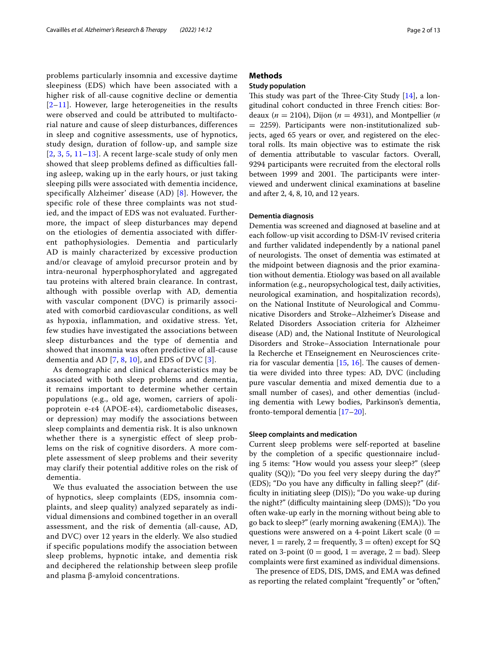problems particularly insomnia and excessive daytime sleepiness (EDS) which have been associated with a higher risk of all-cause cognitive decline or dementia  $[2-11]$  $[2-11]$  $[2-11]$ . However, large heterogeneities in the results were observed and could be attributed to multifactorial nature and cause of sleep disturbances, differences in sleep and cognitive assessments, use of hypnotics, study design, duration of follow-up, and sample size  $[2, 3, 5, 11-13]$  $[2, 3, 5, 11-13]$  $[2, 3, 5, 11-13]$  $[2, 3, 5, 11-13]$  $[2, 3, 5, 11-13]$  $[2, 3, 5, 11-13]$  $[2, 3, 5, 11-13]$  $[2, 3, 5, 11-13]$  $[2, 3, 5, 11-13]$ . A recent large-scale study of only men showed that sleep problems defined as difficulties falling asleep, waking up in the early hours, or just taking sleeping pills were associated with dementia incidence, specifically Alzheimer' disease (AD) [[8\]](#page-11-6). However, the specific role of these three complaints was not studied, and the impact of EDS was not evaluated. Furthermore, the impact of sleep disturbances may depend on the etiologies of dementia associated with different pathophysiologies. Dementia and particularly AD is mainly characterized by excessive production and/or cleavage of amyloid precursor protein and by intra-neuronal hyperphosphorylated and aggregated tau proteins with altered brain clearance. In contrast, although with possible overlap with AD, dementia with vascular component (DVC) is primarily associated with comorbid cardiovascular conditions, as well as hypoxia, inflammation, and oxidative stress. Yet, few studies have investigated the associations between sleep disturbances and the type of dementia and showed that insomnia was often predictive of all-cause dementia and AD [[7,](#page-11-7) [8,](#page-11-6) [10](#page-11-8)], and EDS of DVC [[3\]](#page-11-3).

As demographic and clinical characteristics may be associated with both sleep problems and dementia, it remains important to determine whether certain populations (e.g., old age, women, carriers of apolipoprotein e-ε4 (APOE-ε4), cardiometabolic diseases, or depression) may modify the associations between sleep complaints and dementia risk. It is also unknown whether there is a synergistic effect of sleep problems on the risk of cognitive disorders. A more complete assessment of sleep problems and their severity may clarify their potential additive roles on the risk of dementia.

We thus evaluated the association between the use of hypnotics, sleep complaints (EDS, insomnia complaints, and sleep quality) analyzed separately as individual dimensions and combined together in an overall assessment, and the risk of dementia (all-cause, AD, and DVC) over 12 years in the elderly. We also studied if specific populations modify the association between sleep problems, hypnotic intake, and dementia risk and deciphered the relationship between sleep profile and plasma β-amyloid concentrations.

## **Methods**

## **Study population**

This study was part of the Three-City Study  $[14]$  $[14]$ , a longitudinal cohort conducted in three French cities: Bordeaux ( $n = 2104$ ), Dijon ( $n = 4931$ ), and Montpellier ( $n$ = 2259). Participants were non-institutionalized subjects, aged 65 years or over, and registered on the electoral rolls. Its main objective was to estimate the risk of dementia attributable to vascular factors. Overall, 9294 participants were recruited from the electoral rolls between 1999 and 2001. The participants were interviewed and underwent clinical examinations at baseline and after 2, 4, 8, 10, and 12 years.

## **Dementia diagnosis**

Dementia was screened and diagnosed at baseline and at each follow-up visit according to DSM-IV revised criteria and further validated independently by a national panel of neurologists. The onset of dementia was estimated at the midpoint between diagnosis and the prior examination without dementia. Etiology was based on all available information (e.g., neuropsychological test, daily activities, neurological examination, and hospitalization records), on the National Institute of Neurological and Communicative Disorders and Stroke–Alzheimer's Disease and Related Disorders Association criteria for Alzheimer disease (AD) and, the National Institute of Neurological Disorders and Stroke–Association Internationale pour la Recherche et l'Enseignement en Neurosciences criteria for vascular dementia  $[15, 16]$  $[15, 16]$  $[15, 16]$  $[15, 16]$ . The causes of dementia were divided into three types: AD, DVC (including pure vascular dementia and mixed dementia due to a small number of cases), and other dementias (including dementia with Lewy bodies, Parkinson's dementia, fronto-temporal dementia [\[17–](#page-11-12)[20\]](#page-11-13).

### **Sleep complaints and medication**

Current sleep problems were self-reported at baseline by the completion of a specifc questionnaire including 5 items: "How would you assess your sleep?" (sleep quality (SQ)); "Do you feel very sleepy during the day?" (EDS); "Do you have any difficulty in falling sleep?" (diffculty in initiating sleep (DIS)); "Do you wake-up during the night?" (difficulty maintaining sleep (DMS)); "Do you often wake-up early in the morning without being able to go back to sleep?" (early morning awakening (EMA)). The questions were answered on a 4-point Likert scale  $(0 =$ never,  $1 =$  rarely,  $2 =$  frequently,  $3 =$  often) except for SQ rated on 3-point ( $0 = \text{good}$ ,  $1 = \text{average}$ ,  $2 = \text{bad}$ ). Sleep complaints were frst examined as individual dimensions.

The presence of EDS, DIS, DMS, and EMA was defined as reporting the related complaint "frequently" or "often,"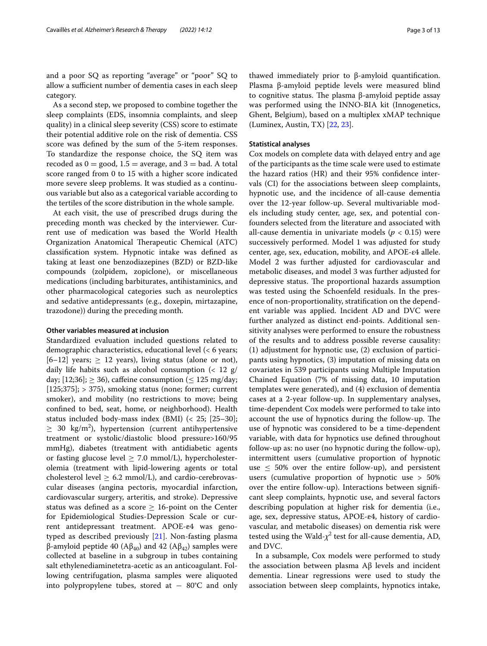and a poor SQ as reporting "average" or "poor" SQ to allow a sufficient number of dementia cases in each sleep category.

As a second step, we proposed to combine together the sleep complaints (EDS, insomnia complaints, and sleep quality) in a clinical sleep severity (CSS) score to estimate their potential additive role on the risk of dementia. CSS score was defned by the sum of the 5-item responses. To standardize the response choice, the SQ item was recoded as  $0 = \text{good}$ ,  $1.5 = \text{average}$ , and  $3 = \text{bad}$ . A total score ranged from 0 to 15 with a higher score indicated more severe sleep problems. It was studied as a continuous variable but also as a categorical variable according to the tertiles of the score distribution in the whole sample.

At each visit, the use of prescribed drugs during the preceding month was checked by the interviewer. Current use of medication was based the World Health Organization Anatomical Therapeutic Chemical (ATC) classifcation system. Hypnotic intake was defned as taking at least one benzodiazepines (BZD) or BZD-like compounds (zolpidem, zopiclone), or miscellaneous medications (including barbiturates, antihistaminics, and other pharmacological categories such as neuroleptics and sedative antidepressants (e.g., doxepin, mirtazapine, trazodone)) during the preceding month.

#### **Other variables measured at inclusion**

Standardized evaluation included questions related to demographic characteristics, educational level (< 6 years;  $[6-12]$  years;  $\geq 12$  years), living status (alone or not), daily life habits such as alcohol consumption  $\langle$  12 g/ day; [12;36];  $\geq$  36), caffeine consumption ( $\leq$  125 mg/day;  $[125;375]$ ; > 375), smoking status (none; former; current smoker), and mobility (no restrictions to move; being confned to bed, seat, home, or neighborhood). Health status included body-mass index (BMI) (< 25; [25–30];  $\geq$  30 kg/m<sup>2</sup>), hypertension (current antihypertensive treatment or systolic/diastolic blood pressure>160/95 mmHg), diabetes (treatment with antidiabetic agents or fasting glucose level  $\geq$  7.0 mmol/L), hypercholesterolemia (treatment with lipid-lowering agents or total cholesterol level  $> 6.2$  mmol/L), and cardio-cerebrovascular diseases (angina pectoris, myocardial infarction, cardiovascular surgery, arteritis, and stroke). Depressive status was defined as a score  $\geq 16$ -point on the Center for Epidemiological Studies-Depression Scale or current antidepressant treatment. APOE-ɛ4 was genotyped as described previously [\[21](#page-11-14)]. Non-fasting plasma β-amyloid peptide 40 (Aβ<sub>40</sub>) and 42 (Aβ<sub>42</sub>) samples were collected at baseline in a subgroup in tubes containing salt ethylenediaminetetra-acetic as an anticoagulant. Following centrifugation, plasma samples were aliquoted into polypropylene tubes, stored at  $-$  80°C and only

thawed immediately prior to β-amyloid quantifcation. Plasma β-amyloid peptide levels were measured blind to cognitive status. The plasma β-amyloid peptide assay was performed using the INNO-BIA kit (Innogenetics, Ghent, Belgium), based on a multiplex xMAP technique (Luminex, Austin, TX) [[22,](#page-11-15) [23](#page-11-16)].

## **Statistical analyses**

Cox models on complete data with delayed entry and age of the participants as the time scale were used to estimate the hazard ratios (HR) and their 95% confdence intervals (CI) for the associations between sleep complaints, hypnotic use, and the incidence of all-cause dementia over the 12-year follow-up. Several multivariable models including study center, age, sex, and potential confounders selected from the literature and associated with all-cause dementia in univariate models (*p* < 0.15) were successively performed. Model 1 was adjusted for study center, age, sex, education, mobility, and APOE-ε4 allele. Model 2 was further adjusted for cardiovascular and metabolic diseases, and model 3 was further adjusted for depressive status. The proportional hazards assumption was tested using the Schoenfeld residuals. In the presence of non-proportionality, stratifcation on the dependent variable was applied. Incident AD and DVC were further analyzed as distinct end-points. Additional sensitivity analyses were performed to ensure the robustness of the results and to address possible reverse causality: (1) adjustment for hypnotic use, (2) exclusion of participants using hypnotics, (3) imputation of missing data on covariates in 539 participants using Multiple Imputation Chained Equation (7% of missing data, 10 imputation templates were generated), and (4) exclusion of dementia cases at a 2-year follow-up. In supplementary analyses, time-dependent Cox models were performed to take into account the use of hypnotics during the follow-up. The use of hypnotic was considered to be a time-dependent variable, with data for hypnotics use defned throughout follow-up as: no user (no hypnotic during the follow-up), intermittent users (cumulative proportion of hypnotic use  $\leq$  50% over the entire follow-up), and persistent users (cumulative proportion of hypnotic use > 50% over the entire follow-up). Interactions between signifcant sleep complaints, hypnotic use, and several factors describing population at higher risk for dementia (i.e., age, sex, depressive status, APOE-ɛ4, history of cardiovascular, and metabolic diseases) on dementia risk were tested using the Wald- $\chi^2$  test for all-cause dementia, AD, and DVC.

In a subsample, Cox models were performed to study the association between plasma Aβ levels and incident dementia. Linear regressions were used to study the association between sleep complaints, hypnotics intake,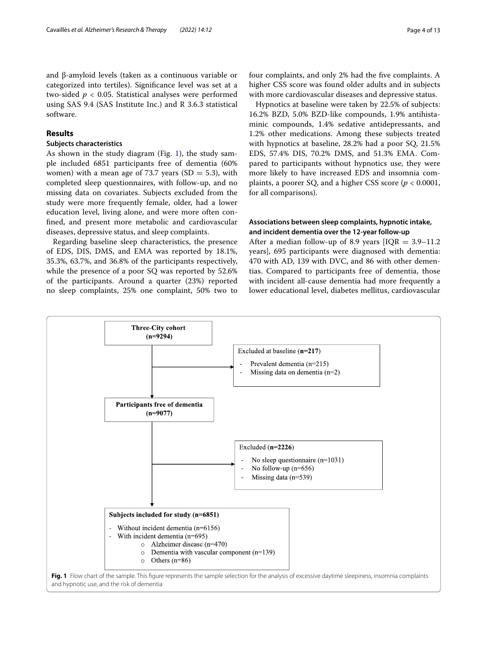and β-amyloid levels (taken as a continuous variable or categorized into tertiles). Signifcance level was set at a two-sided *p* < 0.05. Statistical analyses were performed using SAS 9.4 (SAS Institute Inc.) and R 3.6.3 statistical software.

## **Results**

## **Subjects characteristics**

As shown in the study diagram (Fig. [1](#page-3-0)), the study sample included 6851 participants free of dementia (60% women) with a mean age of 73.7 years (SD  $=$  5.3), with completed sleep questionnaires, with follow-up, and no missing data on covariates. Subjects excluded from the study were more frequently female, older, had a lower education level, living alone, and were more often confned, and present more metabolic and cardiovascular diseases, depressive status, and sleep complaints.

Regarding baseline sleep characteristics, the presence of EDS, DIS, DMS, and EMA was reported by 18.1%, 35.3%, 63.7%, and 36.8% of the participants respectively, while the presence of a poor SQ was reported by 52.6% of the participants. Around a quarter (23%) reported no sleep complaints, 25% one complaint, 50% two to four complaints, and only 2% had the fve complaints. A higher CSS score was found older adults and in subjects with more cardiovascular diseases and depressive status.

Hypnotics at baseline were taken by 22.5% of subjects: 16.2% BZD, 5.0% BZD-like compounds, 1.9% antihistaminic compounds, 1.4% sedative antidepressants, and 1.2% other medications. Among these subjects treated with hypnotics at baseline, 28.2% had a poor SQ, 21.5% EDS, 57.4% DIS, 70.2% DMS, and 51.3% EMA. Compared to participants without hypnotics use, they were more likely to have increased EDS and insomnia complaints, a poorer SQ, and a higher CSS score (*p* < 0.0001, for all comparisons).

## **Associations between sleep complaints, hypnotic intake, and incident dementia over the 12‑year follow‑up**

After a median follow-up of 8.9 years  $[IQR = 3.9-11.2]$ years], 695 participants were diagnosed with dementia: 470 with AD, 139 with DVC, and 86 with other dementias. Compared to participants free of dementia, those with incident all-cause dementia had more frequently a lower educational level, diabetes mellitus, cardiovascular

<span id="page-3-0"></span>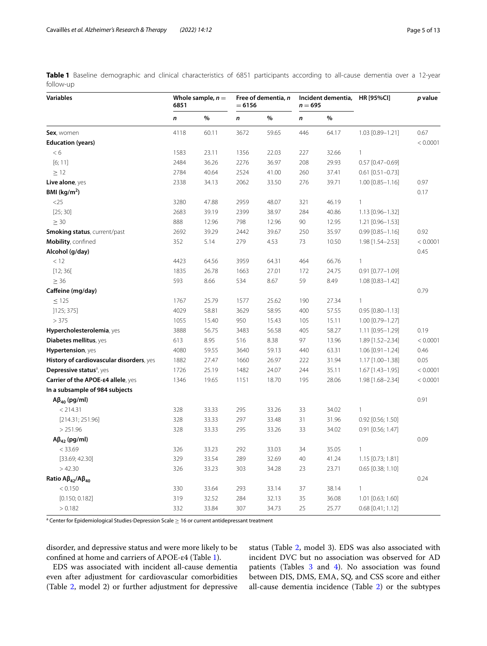<span id="page-4-0"></span>**Table 1** Baseline demographic and clinical characteristics of 6851 participants according to all-cause dementia over a 12-year follow-up

| <b>Variables</b>                              | 6851 | Whole sample, $n =$ | $= 6156$ | Free of dementia, n | $n = 695$ | Incident dementia, | <b>HR [95%CI]</b>      | p value  |
|-----------------------------------------------|------|---------------------|----------|---------------------|-----------|--------------------|------------------------|----------|
|                                               | n    | %                   | n        | $\%$                | n         | $\%$               |                        |          |
| Sex, women                                    | 4118 | 60.11               | 3672     | 59.65               | 446       | 64.17              | 1.03 [0.89-1.21]       | 0.67     |
| <b>Education (years)</b>                      |      |                     |          |                     |           |                    |                        | < 0.0001 |
| < 6                                           | 1583 | 23.11               | 1356     | 22.03               | 227       | 32.66              | $\mathbf{1}$           |          |
| [6; 11]                                       | 2484 | 36.26               | 2276     | 36.97               | 208       | 29.93              | $0.57$ [0.47-0.69]     |          |
| >12                                           | 2784 | 40.64               | 2524     | 41.00               | 260       | 37.41              | $0.61$ [0.51-0.73]     |          |
| Live alone, yes                               | 2338 | 34.13               | 2062     | 33.50               | 276       | 39.71              | $1.00$ [0.85-1.16]     | 0.97     |
| BMI ( $kg/m2$ )                               |      |                     |          |                     |           |                    |                        | 0.17     |
| $<$ 25                                        | 3280 | 47.88               | 2959     | 48.07               | 321       | 46.19              | 1                      |          |
| [25; 30]                                      | 2683 | 39.19               | 2399     | 38.97               | 284       | 40.86              | 1.13 [0.96-1.32]       |          |
| $\geq 30$                                     | 888  | 12.96               | 798      | 12.96               | 90        | 12.95              | 1.21 [0.96-1.53]       |          |
| Smoking status, current/past                  | 2692 | 39.29               | 2442     | 39.67               | 250       | 35.97              | $0.99$ $[0.85 - 1.16]$ | 0.92     |
| Mobility, confined                            | 352  | 5.14                | 279      | 4.53                | 73        | 10.50              | 1.98 [1.54-2.53]       | < 0.0001 |
| Alcohol (g/day)                               |      |                     |          |                     |           |                    |                        | 0.45     |
| < 12                                          | 4423 | 64.56               | 3959     | 64.31               | 464       | 66.76              | 1                      |          |
| [12; 36]                                      | 1835 | 26.78               | 1663     | 27.01               | 172       | 24.75              | 0.91 [0.77-1.09]       |          |
| $\geq 36$                                     | 593  | 8.66                | 534      | 8.67                | 59        | 8.49               | 1.08 [0.83-1.42]       |          |
| Caffeine (mg/day)                             |      |                     |          |                     |           |                    |                        | 0.79     |
| $\leq$ 125                                    | 1767 | 25.79               | 1577     | 25.62               | 190       | 27.34              | $\mathbf{1}$           |          |
| [125; 375]                                    | 4029 | 58.81               | 3629     | 58.95               | 400       | 57.55              | $0.95$ $[0.80 - 1.13]$ |          |
| > 375                                         | 1055 | 15.40               | 950      | 15.43               | 105       | 15.11              | 1.00 [0.79-1.27]       |          |
| Hypercholesterolemia, yes                     | 3888 | 56.75               | 3483     | 56.58               | 405       | 58.27              | 1.11 [0.95-1.29]       | 0.19     |
| Diabetes mellitus, yes                        | 613  | 8.95                | 516      | 8.38                | 97        | 13.96              | 1.89 [1.52-2.34]       | < 0.0001 |
| Hypertension, yes                             | 4080 | 59.55               | 3640     | 59.13               | 440       | 63.31              | $1.06$ [0.91-1.24]     | 0.46     |
| History of cardiovascular disorders, yes      | 1882 | 27.47               | 1660     | 26.97               | 222       | 31.94              | 1.17 [1.00-1.38]       | 0.05     |
| Depressive status <sup>a</sup> , yes          | 1726 | 25.19               | 1482     | 24.07               | 244       | 35.11              | 1.67 [1.43-1.95]       | < 0.0001 |
| Carrier of the APOE- $\epsilon$ 4 allele, yes | 1346 | 19.65               | 1151     | 18.70               | 195       | 28.06              | 1.98 [1.68-2.34]       | < 0.0001 |
| In a subsample of 984 subjects                |      |                     |          |                     |           |                    |                        |          |
| $A\beta_{40}$ (pg/ml)                         |      |                     |          |                     |           |                    |                        | 0.91     |
| < 214.31                                      | 328  | 33.33               | 295      | 33.26               | 33        | 34.02              | $\mathbf{1}$           |          |
| [214.31; 251.96]                              | 328  | 33.33               | 297      | 33.48               | 31        | 31.96              | 0.92 [0.56; 1.50]      |          |
| > 251.96                                      | 328  | 33.33               | 295      | 33.26               | 33        | 34.02              | 0.91 [0.56; 1.47]      |          |
| $A\beta_{42}$ (pg/ml)                         |      |                     |          |                     |           |                    |                        | 0.09     |
| < 33.69                                       | 326  | 33.23               | 292      | 33.03               | 34        | 35.05              | $\overline{1}$         |          |
| [33.69; 42.30]                                | 329  | 33.54               | 289      | 32.69               | 40        | 41.24              | 1.15 [0.73; 1.81]      |          |
| >42.30                                        | 326  | 33.23               | 303      | 34.28               | 23        | 23.71              | $0.65$ [0.38; 1.10]    |          |
| Ratio $A\beta_{42}/A\beta_{40}$               |      |                     |          |                     |           |                    |                        | 0.24     |
| < 0.150                                       | 330  | 33.64               | 293      | 33.14               | 37        | 38.14              | 1                      |          |
| [0.150; 0.182]                                | 319  | 32.52               | 284      | 32.13               | 35        | 36.08              | 1.01 [0.63; 1.60]      |          |
| > 0.182                                       | 332  | 33.84               | 307      | 34.73               | 25        | 25.77              | $0.68$ [0.41; 1.12]    |          |

 $^{\rm a}$  Center for Epidemiological Studies-Depression Scale  $\geq$  16 or current antidepressant treatment

disorder, and depressive status and were more likely to be confned at home and carriers of APOE-ε4 (Table [1](#page-4-0)).

EDS was associated with incident all-cause dementia even after adjustment for cardiovascular comorbidities (Table [2,](#page-5-0) model 2) or further adjustment for depressive status (Table [2](#page-5-0), model 3). EDS was also associated with incident DVC but no association was observed for AD patients (Tables [3](#page-6-0) and [4\)](#page-7-0). No association was found between DIS, DMS, EMA, SQ, and CSS score and either all-cause dementia incidence (Table [2](#page-5-0)) or the subtypes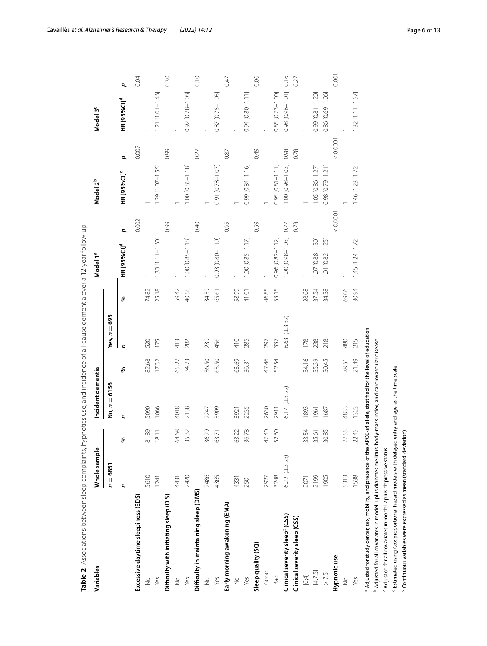| 0.10<br>0.16<br>0.04<br>0.30<br>0.06<br>0.47<br>0.27<br>đ<br>0.94 [0.80-1.11]<br>0.98 [0.96-1.01]<br>1.21 [1.01-1.46]<br>0.85 [0.73-1.00]<br>0.99 [0.81-1.20]<br>$0.92 [0.78 - 1.08]$<br>0.86 [0.69-1.06]<br>0.87 [0.75-1.03]<br>$1.32$ [1.11-1.57]<br>HR [95%Cl] <sup>d</sup><br>0.0001<br>0.007<br>0.99<br>0.49<br>0.98<br>0.78<br>0.27<br>0.87<br>p<br>1.29 [1.07-1.55]<br>$0.95$ [0.81-1.11]<br>0.98 [0.79-1.21]<br>$1.00$ [0.85-1.18]<br>0.99 [0.84-1.16]<br>1.00 [0.98-1.03]<br>1.05 [0.86-1.27]<br>1.46 [1.23-1.72]<br>0.91 [0.78-1.07]<br>HR [95%Cl] <sup>d</sup><br>0.0001<br>0.002<br>0.95<br>0.59<br>0.99<br>0.78<br>0.40<br>0.77<br>đ<br>1.00 [0.98-1.03]<br>$1.07$ [0.88-1.30]<br>1.33 [1.11-1.60]<br>$1.00$ [0.85-1.18]<br>0.93 [0.80-1.10]<br>1.00 [0.85-1.17]<br>0.96 [0.82-1.12]<br>1.45 [1.24-1.72]<br>1.01 [0.82-1.25]<br>HR [95%Cl] <sup>d</sup><br>25.18<br>40.58<br>58.99<br>53.15<br>69.06<br>34.39<br>46.85<br>28.08<br>37.54<br>34.38<br>74.82<br>59.42<br>30.94<br>65.61<br>41.01<br>శ<br>695<br>$(\pm 3.32)$<br>$\lvert \rvert$<br>Adjusted for study center, sex, mobility, and presence of the APOE-e4 allele, stratified for the level of education<br>Yes, n<br>6.63<br>239<br>456<br>410<br>178<br>238<br>218<br>480<br>520<br>175<br>413<br>285<br>215<br><sup>9</sup> Adjusted for all covariates in model 1 plus diabetes mellitus, body-mass index, and cardiovascular disease<br>282<br>337<br>297<br>J,<br>63.69<br>47.46<br>34.16<br>21.49<br>82.68<br>17.32<br>36.50<br>63.50<br>35.39<br>30.45<br>34.73<br>52.54<br>65.27<br>36.31<br>78.51<br>entry and age as the time scale<br>&<br>$No, n = 6156$<br>6.17 $(\pm 3.22)$<br>3909<br>2630<br>5090<br>1066<br>4018<br>2138<br>2235<br>1893<br>4833<br>1323<br>247<br>1961<br>3921<br>1687<br>2911<br>r,<br>81.89<br>47.40<br>77.55<br>22.45<br>54.68<br>86.29<br>36.78<br>52.60<br>8.11<br>35.32<br>53.22<br>83.54<br>30.85<br>35.61<br>53.71<br>℅<br><sup>1</sup> Estimated using Cox proportional hazard models with delayed<br>Adjusted for all covariates in model 2 plus depressive status<br>$(\pm 3.23)$<br>$n = 6851$<br>5610<br>2486<br>1538<br>2420<br>4365<br>2199<br>1905<br>5313<br>3248<br>6.22<br>1241<br>2927<br>4331<br>2071<br>4431<br>250<br>r,<br>Difficulty in maintaining sleep (DMS)<br>Excessive daytime sleepiness (EDS)<br>Difficulty with initiating sleep (DIS)<br>[4, 7.5]<br>Good<br>$> 7.5$<br>$[0;4]$<br>Bad<br>Yes<br>Yes<br>Yes<br>Yes<br>Yes<br>$\frac{1}{2}$<br>$\frac{1}{2}$<br>$\frac{1}{2}$<br>$\frac{0}{2}$<br>$\frac{1}{2}$ | Variables                                  | Whole sample | Incident dementia |  | Model 1ª | Model 2 <sup>b</sup> | Model 3 <sup>c</sup> |  |
|---------------------------------------------------------------------------------------------------------------------------------------------------------------------------------------------------------------------------------------------------------------------------------------------------------------------------------------------------------------------------------------------------------------------------------------------------------------------------------------------------------------------------------------------------------------------------------------------------------------------------------------------------------------------------------------------------------------------------------------------------------------------------------------------------------------------------------------------------------------------------------------------------------------------------------------------------------------------------------------------------------------------------------------------------------------------------------------------------------------------------------------------------------------------------------------------------------------------------------------------------------------------------------------------------------------------------------------------------------------------------------------------------------------------------------------------------------------------------------------------------------------------------------------------------------------------------------------------------------------------------------------------------------------------------------------------------------------------------------------------------------------------------------------------------------------------------------------------------------------------------------------------------------------------------------------------------------------------------------------------------------------------------------------------------------------------------------------------------------------------------------------------------------------------------------------------------------------------------------------------------------------------------------------------------------------------------------------------------------------------------------------------------------------------------------------------------------------------------------------------------------------------------------------------------------------|--------------------------------------------|--------------|-------------------|--|----------|----------------------|----------------------|--|
| $0.00^{\circ}$                                                                                                                                                                                                                                                                                                                                                                                                                                                                                                                                                                                                                                                                                                                                                                                                                                                                                                                                                                                                                                                                                                                                                                                                                                                                                                                                                                                                                                                                                                                                                                                                                                                                                                                                                                                                                                                                                                                                                                                                                                                                                                                                                                                                                                                                                                                                                                                                                                                                                                                                                |                                            |              |                   |  |          |                      |                      |  |
|                                                                                                                                                                                                                                                                                                                                                                                                                                                                                                                                                                                                                                                                                                                                                                                                                                                                                                                                                                                                                                                                                                                                                                                                                                                                                                                                                                                                                                                                                                                                                                                                                                                                                                                                                                                                                                                                                                                                                                                                                                                                                                                                                                                                                                                                                                                                                                                                                                                                                                                                                               |                                            |              |                   |  |          |                      |                      |  |
|                                                                                                                                                                                                                                                                                                                                                                                                                                                                                                                                                                                                                                                                                                                                                                                                                                                                                                                                                                                                                                                                                                                                                                                                                                                                                                                                                                                                                                                                                                                                                                                                                                                                                                                                                                                                                                                                                                                                                                                                                                                                                                                                                                                                                                                                                                                                                                                                                                                                                                                                                               |                                            |              |                   |  |          |                      |                      |  |
|                                                                                                                                                                                                                                                                                                                                                                                                                                                                                                                                                                                                                                                                                                                                                                                                                                                                                                                                                                                                                                                                                                                                                                                                                                                                                                                                                                                                                                                                                                                                                                                                                                                                                                                                                                                                                                                                                                                                                                                                                                                                                                                                                                                                                                                                                                                                                                                                                                                                                                                                                               |                                            |              |                   |  |          |                      |                      |  |
|                                                                                                                                                                                                                                                                                                                                                                                                                                                                                                                                                                                                                                                                                                                                                                                                                                                                                                                                                                                                                                                                                                                                                                                                                                                                                                                                                                                                                                                                                                                                                                                                                                                                                                                                                                                                                                                                                                                                                                                                                                                                                                                                                                                                                                                                                                                                                                                                                                                                                                                                                               |                                            |              |                   |  |          |                      |                      |  |
|                                                                                                                                                                                                                                                                                                                                                                                                                                                                                                                                                                                                                                                                                                                                                                                                                                                                                                                                                                                                                                                                                                                                                                                                                                                                                                                                                                                                                                                                                                                                                                                                                                                                                                                                                                                                                                                                                                                                                                                                                                                                                                                                                                                                                                                                                                                                                                                                                                                                                                                                                               |                                            |              |                   |  |          |                      |                      |  |
|                                                                                                                                                                                                                                                                                                                                                                                                                                                                                                                                                                                                                                                                                                                                                                                                                                                                                                                                                                                                                                                                                                                                                                                                                                                                                                                                                                                                                                                                                                                                                                                                                                                                                                                                                                                                                                                                                                                                                                                                                                                                                                                                                                                                                                                                                                                                                                                                                                                                                                                                                               |                                            |              |                   |  |          |                      |                      |  |
|                                                                                                                                                                                                                                                                                                                                                                                                                                                                                                                                                                                                                                                                                                                                                                                                                                                                                                                                                                                                                                                                                                                                                                                                                                                                                                                                                                                                                                                                                                                                                                                                                                                                                                                                                                                                                                                                                                                                                                                                                                                                                                                                                                                                                                                                                                                                                                                                                                                                                                                                                               |                                            |              |                   |  |          |                      |                      |  |
|                                                                                                                                                                                                                                                                                                                                                                                                                                                                                                                                                                                                                                                                                                                                                                                                                                                                                                                                                                                                                                                                                                                                                                                                                                                                                                                                                                                                                                                                                                                                                                                                                                                                                                                                                                                                                                                                                                                                                                                                                                                                                                                                                                                                                                                                                                                                                                                                                                                                                                                                                               |                                            |              |                   |  |          |                      |                      |  |
|                                                                                                                                                                                                                                                                                                                                                                                                                                                                                                                                                                                                                                                                                                                                                                                                                                                                                                                                                                                                                                                                                                                                                                                                                                                                                                                                                                                                                                                                                                                                                                                                                                                                                                                                                                                                                                                                                                                                                                                                                                                                                                                                                                                                                                                                                                                                                                                                                                                                                                                                                               |                                            |              |                   |  |          |                      |                      |  |
|                                                                                                                                                                                                                                                                                                                                                                                                                                                                                                                                                                                                                                                                                                                                                                                                                                                                                                                                                                                                                                                                                                                                                                                                                                                                                                                                                                                                                                                                                                                                                                                                                                                                                                                                                                                                                                                                                                                                                                                                                                                                                                                                                                                                                                                                                                                                                                                                                                                                                                                                                               |                                            |              |                   |  |          |                      |                      |  |
|                                                                                                                                                                                                                                                                                                                                                                                                                                                                                                                                                                                                                                                                                                                                                                                                                                                                                                                                                                                                                                                                                                                                                                                                                                                                                                                                                                                                                                                                                                                                                                                                                                                                                                                                                                                                                                                                                                                                                                                                                                                                                                                                                                                                                                                                                                                                                                                                                                                                                                                                                               | Early morning awakening (EMA)              |              |                   |  |          |                      |                      |  |
|                                                                                                                                                                                                                                                                                                                                                                                                                                                                                                                                                                                                                                                                                                                                                                                                                                                                                                                                                                                                                                                                                                                                                                                                                                                                                                                                                                                                                                                                                                                                                                                                                                                                                                                                                                                                                                                                                                                                                                                                                                                                                                                                                                                                                                                                                                                                                                                                                                                                                                                                                               |                                            |              |                   |  |          |                      |                      |  |
|                                                                                                                                                                                                                                                                                                                                                                                                                                                                                                                                                                                                                                                                                                                                                                                                                                                                                                                                                                                                                                                                                                                                                                                                                                                                                                                                                                                                                                                                                                                                                                                                                                                                                                                                                                                                                                                                                                                                                                                                                                                                                                                                                                                                                                                                                                                                                                                                                                                                                                                                                               |                                            |              |                   |  |          |                      |                      |  |
|                                                                                                                                                                                                                                                                                                                                                                                                                                                                                                                                                                                                                                                                                                                                                                                                                                                                                                                                                                                                                                                                                                                                                                                                                                                                                                                                                                                                                                                                                                                                                                                                                                                                                                                                                                                                                                                                                                                                                                                                                                                                                                                                                                                                                                                                                                                                                                                                                                                                                                                                                               | Sleep quality (SQ)                         |              |                   |  |          |                      |                      |  |
|                                                                                                                                                                                                                                                                                                                                                                                                                                                                                                                                                                                                                                                                                                                                                                                                                                                                                                                                                                                                                                                                                                                                                                                                                                                                                                                                                                                                                                                                                                                                                                                                                                                                                                                                                                                                                                                                                                                                                                                                                                                                                                                                                                                                                                                                                                                                                                                                                                                                                                                                                               |                                            |              |                   |  |          |                      |                      |  |
|                                                                                                                                                                                                                                                                                                                                                                                                                                                                                                                                                                                                                                                                                                                                                                                                                                                                                                                                                                                                                                                                                                                                                                                                                                                                                                                                                                                                                                                                                                                                                                                                                                                                                                                                                                                                                                                                                                                                                                                                                                                                                                                                                                                                                                                                                                                                                                                                                                                                                                                                                               |                                            |              |                   |  |          |                      |                      |  |
|                                                                                                                                                                                                                                                                                                                                                                                                                                                                                                                                                                                                                                                                                                                                                                                                                                                                                                                                                                                                                                                                                                                                                                                                                                                                                                                                                                                                                                                                                                                                                                                                                                                                                                                                                                                                                                                                                                                                                                                                                                                                                                                                                                                                                                                                                                                                                                                                                                                                                                                                                               | Clinical severity sleep <sup>e</sup> (CSS) |              |                   |  |          |                      |                      |  |
|                                                                                                                                                                                                                                                                                                                                                                                                                                                                                                                                                                                                                                                                                                                                                                                                                                                                                                                                                                                                                                                                                                                                                                                                                                                                                                                                                                                                                                                                                                                                                                                                                                                                                                                                                                                                                                                                                                                                                                                                                                                                                                                                                                                                                                                                                                                                                                                                                                                                                                                                                               | Clinical severity sleep (CSS)              |              |                   |  |          |                      |                      |  |
|                                                                                                                                                                                                                                                                                                                                                                                                                                                                                                                                                                                                                                                                                                                                                                                                                                                                                                                                                                                                                                                                                                                                                                                                                                                                                                                                                                                                                                                                                                                                                                                                                                                                                                                                                                                                                                                                                                                                                                                                                                                                                                                                                                                                                                                                                                                                                                                                                                                                                                                                                               |                                            |              |                   |  |          |                      |                      |  |
|                                                                                                                                                                                                                                                                                                                                                                                                                                                                                                                                                                                                                                                                                                                                                                                                                                                                                                                                                                                                                                                                                                                                                                                                                                                                                                                                                                                                                                                                                                                                                                                                                                                                                                                                                                                                                                                                                                                                                                                                                                                                                                                                                                                                                                                                                                                                                                                                                                                                                                                                                               |                                            |              |                   |  |          |                      |                      |  |
|                                                                                                                                                                                                                                                                                                                                                                                                                                                                                                                                                                                                                                                                                                                                                                                                                                                                                                                                                                                                                                                                                                                                                                                                                                                                                                                                                                                                                                                                                                                                                                                                                                                                                                                                                                                                                                                                                                                                                                                                                                                                                                                                                                                                                                                                                                                                                                                                                                                                                                                                                               |                                            |              |                   |  |          |                      |                      |  |
|                                                                                                                                                                                                                                                                                                                                                                                                                                                                                                                                                                                                                                                                                                                                                                                                                                                                                                                                                                                                                                                                                                                                                                                                                                                                                                                                                                                                                                                                                                                                                                                                                                                                                                                                                                                                                                                                                                                                                                                                                                                                                                                                                                                                                                                                                                                                                                                                                                                                                                                                                               | Hypnotic use                               |              |                   |  |          |                      |                      |  |
|                                                                                                                                                                                                                                                                                                                                                                                                                                                                                                                                                                                                                                                                                                                                                                                                                                                                                                                                                                                                                                                                                                                                                                                                                                                                                                                                                                                                                                                                                                                                                                                                                                                                                                                                                                                                                                                                                                                                                                                                                                                                                                                                                                                                                                                                                                                                                                                                                                                                                                                                                               |                                            |              |                   |  |          |                      |                      |  |
|                                                                                                                                                                                                                                                                                                                                                                                                                                                                                                                                                                                                                                                                                                                                                                                                                                                                                                                                                                                                                                                                                                                                                                                                                                                                                                                                                                                                                                                                                                                                                                                                                                                                                                                                                                                                                                                                                                                                                                                                                                                                                                                                                                                                                                                                                                                                                                                                                                                                                                                                                               |                                            |              |                   |  |          |                      |                      |  |
|                                                                                                                                                                                                                                                                                                                                                                                                                                                                                                                                                                                                                                                                                                                                                                                                                                                                                                                                                                                                                                                                                                                                                                                                                                                                                                                                                                                                                                                                                                                                                                                                                                                                                                                                                                                                                                                                                                                                                                                                                                                                                                                                                                                                                                                                                                                                                                                                                                                                                                                                                               |                                            |              |                   |  |          |                      |                      |  |
|                                                                                                                                                                                                                                                                                                                                                                                                                                                                                                                                                                                                                                                                                                                                                                                                                                                                                                                                                                                                                                                                                                                                                                                                                                                                                                                                                                                                                                                                                                                                                                                                                                                                                                                                                                                                                                                                                                                                                                                                                                                                                                                                                                                                                                                                                                                                                                                                                                                                                                                                                               |                                            |              |                   |  |          |                      |                      |  |
|                                                                                                                                                                                                                                                                                                                                                                                                                                                                                                                                                                                                                                                                                                                                                                                                                                                                                                                                                                                                                                                                                                                                                                                                                                                                                                                                                                                                                                                                                                                                                                                                                                                                                                                                                                                                                                                                                                                                                                                                                                                                                                                                                                                                                                                                                                                                                                                                                                                                                                                                                               |                                            |              |                   |  |          |                      |                      |  |
|                                                                                                                                                                                                                                                                                                                                                                                                                                                                                                                                                                                                                                                                                                                                                                                                                                                                                                                                                                                                                                                                                                                                                                                                                                                                                                                                                                                                                                                                                                                                                                                                                                                                                                                                                                                                                                                                                                                                                                                                                                                                                                                                                                                                                                                                                                                                                                                                                                                                                                                                                               |                                            |              |                   |  |          |                      |                      |  |

<span id="page-5-0"></span>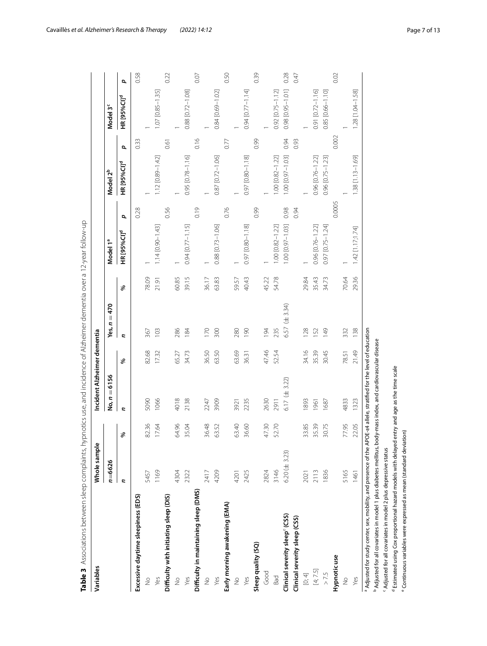| Variables                                                                                                               | Whole sample      |       | Incident Alzheimer dementia          |       |                                  |       |                              |                         |                          |                         |      |
|-------------------------------------------------------------------------------------------------------------------------|-------------------|-------|--------------------------------------|-------|----------------------------------|-------|------------------------------|-------------------------|--------------------------|-------------------------|------|
|                                                                                                                         | $n = 6626$        |       | 6156<br>$\bar{\text{II}}$<br>No, $n$ |       | 470<br>$\lvert \rvert$<br>Yes, n |       | Model 1ª                     | Model 2 <sup>b</sup>    |                          | Model 3 <sup>c</sup>    |      |
|                                                                                                                         | J,                | శ     | r,                                   | శి    | J,                               | శ     | đ<br>HR [95%Cl] <sup>d</sup> | HR [95%Cl] <sup>d</sup> | σ                        | HR [95%Cl] <sup>d</sup> | σ    |
| Excessive daytime sleepiness (EDS)                                                                                      |                   |       |                                      |       |                                  |       | 0.28                         |                         | 0.33                     |                         | 0.58 |
| $\frac{1}{2}$                                                                                                           | 5457              | 82.36 | 5090                                 | 82.68 | 367                              | 78.09 |                              |                         |                          |                         |      |
| Yes                                                                                                                     | 1169              | 17.64 | 1066                                 | 17.32 | 103                              | 21.91 | $1.14$ [0.90-1.43]           |                         | 1.12 [0.89-1.42]         | 1.07 [0.85-1.35]        |      |
| Difficulty with initiating sleep (DIS)                                                                                  |                   |       |                                      |       |                                  |       | 0.56                         |                         | 0.61                     |                         | 0.22 |
| $\frac{1}{2}$                                                                                                           | 4304              | 64.96 | 4018                                 | 65.27 | 286                              | 60.85 |                              |                         |                          |                         |      |
| Yes                                                                                                                     | 2322              | 35.04 | 2138                                 | 34.73 | 184                              | 39.15 | $0.94$ [0.77-1.15]           |                         | $0.95$ [0.78-1.16]       | 0.88 [0.72-1.08]        |      |
| Difficulty in maintaining sleep (DMS)                                                                                   |                   |       |                                      |       |                                  |       | 0.19                         |                         | 0.16                     |                         | 0.07 |
| $\frac{1}{2}$                                                                                                           | 2417              | 36.48 | 2247                                 | 36.50 | 170                              | 36.17 |                              |                         |                          |                         |      |
| Yes                                                                                                                     | 4209              | 63.52 | 3909                                 | 63.50 | 300                              | 63.83 | $0.88$ [ $0.73 - 1.06$ ]     |                         | 0.87 [0.72-1.06]         | 0.84 [0.69-1.02]        |      |
| Early morning awakening (EMA)                                                                                           |                   |       |                                      |       |                                  |       | 0.76                         |                         | 0.77                     |                         | 0.50 |
| $\frac{1}{2}$                                                                                                           | 4201              | 63.40 | 3921                                 | 63.69 | 280                              | 59.57 |                              |                         |                          |                         |      |
| Yes                                                                                                                     | 2425              | 36.60 | 2235                                 | 36.31 | 190                              | 40.43 | 0.97 [0.80-1.18]             |                         | $0.97$ [0.80-1.18]       | 0.94 [0.77-1.14]        |      |
| Sleep quality (SQ)                                                                                                      |                   |       |                                      |       |                                  |       | 0.99                         |                         | 0.99                     |                         | 0.39 |
| Good                                                                                                                    | 2824              | 47.30 | 2630                                 | 47.46 | $\overline{5}$                   | 45.22 |                              |                         |                          |                         |      |
| Bad                                                                                                                     | 3146              | 52.70 | 2911                                 | 52.54 | 235                              | 54.78 | 1.00 [0.82-1.22]             |                         | 1.00 [0.82-1.22]         | 0.92 [0.75-1.12]        |      |
| Clinical severity sleep <sup>e</sup> (CSS)                                                                              | $6.20 (\pm 3.23)$ |       | 6.17 $(\pm 3.22)$                    |       | $(\pm 3.34)$<br>6.57             |       | 0.98<br>1.00 [0.97-1.03]     |                         | 0.94<br>1.00 [0.97-1.03] | 0.98 [0.95-1.01]        | 0.28 |
| Clinical severity sleep (CSS)                                                                                           |                   |       |                                      |       |                                  |       | 0.94                         |                         | 0.93                     |                         | 647  |
| $[0, 4]$                                                                                                                | 2021              | 33.85 | 1893                                 | 34.16 | 28                               | 29.84 |                              |                         |                          |                         |      |
| [4; 7.5]                                                                                                                | 2113              | 35.39 | 1961                                 | 35.39 | 52                               | 35.43 | 0.96 [0.76-1.22]             |                         | 0.96 [0.76-1.22]         | $0.91$ [0.72-1.16]      |      |
| $> 7.5$                                                                                                                 | 1836              | 30.75 | 1687                                 | 30.45 | $\frac{49}{5}$                   | 34.73 | 0.97 [0.75-1.24]             |                         | 0.96 [0.75-1.23]         | 0.85 [0.66-1.10]        |      |
| Hypnotic use                                                                                                            |                   |       |                                      |       |                                  |       | 0.0005                       |                         | 0.002                    |                         | 0.02 |
| $\stackrel{\circ}{\geq}$                                                                                                | 5165              | 77.95 | 4833                                 | 78.51 | 332                              | 70.64 |                              |                         |                          |                         |      |
| Yes                                                                                                                     | 1461              | 22.05 | 1323                                 | 21.49 | 138                              | 29.36 | $1.42$ [1.17;1.74]           |                         | 38 [1.13-1.69]           | 28 [1.04-1.58]          |      |
| a Adjusted for study center, sex, mobility, and presence of the APOE-e4 allele, stratified for the level of education " |                   |       |                                      |       |                                  |       |                              |                         |                          |                         |      |
| <sup>b</sup> Adjusted for all covariates in model 1 plus diabetes mellitus, body-mass index, and cardiovascular disease |                   |       |                                      |       |                                  |       |                              |                         |                          |                         |      |
| Adjusted for all covariates in model 2 plus depressive status                                                           |                   |       |                                      |       |                                  |       |                              |                         |                          |                         |      |
| <sup>d</sup> Estimated using Cox proportional hazard models with delayed                                                |                   |       | entry and age as the time scale      |       |                                  |       |                              |                         |                          |                         |      |
| <sup>e</sup> Continuous variables were expressed as mean (standard deviat                                               |                   | ion)  |                                      |       |                                  |       |                              |                         |                          |                         |      |

<span id="page-6-0"></span>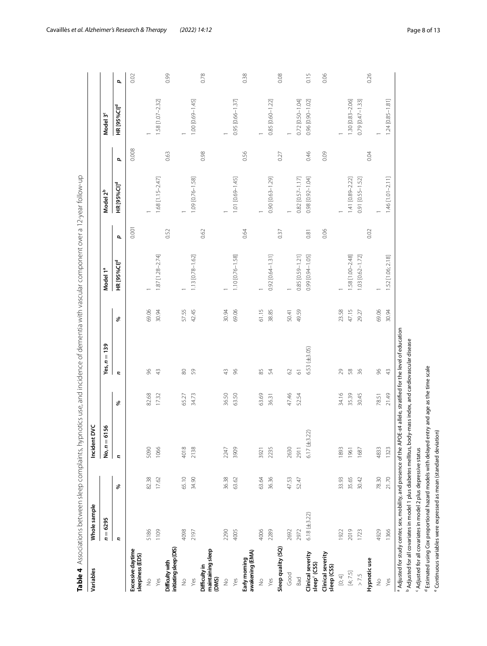| Variables                                          | Whole sample                                                                                               |       | ρX<br>Incident       |       |                                                                                                                     |       |                         |        |                          |       |                                |      |
|----------------------------------------------------|------------------------------------------------------------------------------------------------------------|-------|----------------------|-------|---------------------------------------------------------------------------------------------------------------------|-------|-------------------------|--------|--------------------------|-------|--------------------------------|------|
|                                                    | $n = 6295$                                                                                                 |       | 6156<br>No, $n =$    |       | $= 139$<br>Yes, n                                                                                                   |       | Model 1ª                |        | Model 2 <sup>b</sup>     |       | Model 3 <sup>c</sup>           |      |
|                                                    | <b>z</b>                                                                                                   | %     | <b>z</b>             | %     | L.                                                                                                                  | %     | HR [95%Cl] <sup>d</sup> | d      | HR [95%Cl] <sup>d</sup>  | đ     | <b>HR</b> [95%Cl] <sup>d</sup> | p    |
| Excessive daytime<br>sleepiness (EDS)              |                                                                                                            |       |                      |       |                                                                                                                     |       |                         | 0.001  |                          | 0.008 |                                | 0.02 |
| $\stackrel{\circ}{\geq}$                           | 5186                                                                                                       | 82.38 | 5090                 | 82.68 | $\infty$                                                                                                            | 69.06 |                         |        |                          |       |                                |      |
| Yes                                                | 1109                                                                                                       | 17.62 | 1066                 | 17.32 | $43$                                                                                                                | 30.94 | $1.87$ [1.28-2.74]      |        | $1.68$ [1.15-2.47]       |       | 1.58 [1.07-2.32]               |      |
| initiating sleep (DIS)<br><b>Difficulty with</b>   |                                                                                                            |       |                      |       |                                                                                                                     |       |                         | 0.52   |                          | 0.63  |                                | 0.99 |
| $\stackrel{\circ}{\geq}$                           | 4098                                                                                                       | 65.10 | 4018                 | 65.27 | $\rm ^{\rm 6}$                                                                                                      | 57.55 |                         |        |                          |       |                                |      |
| Yes                                                | 2197                                                                                                       | 34.90 | 2138                 | 34.73 | 59                                                                                                                  | 42.45 | 1.13 [0.78-1.62]        |        | 1.09 [0.76-1.58]         |       | 1.00 [0.69-1.45]               |      |
| maintaining sleep<br><b>Difficulty</b> in<br>(DMS) |                                                                                                            |       |                      |       |                                                                                                                     |       |                         | 0.62   |                          | 0.98  |                                | 0.78 |
| $\frac{\circ}{\sim}$                               | 2290                                                                                                       | 36.38 | 2247                 | 36.50 | $43$                                                                                                                | 30.94 |                         |        |                          |       |                                |      |
| Yes                                                | 4005                                                                                                       | 63.62 | 3909                 | 63.50 | 96                                                                                                                  | 69.06 | 1.10 [0.76-1.58]        |        | 1.01 [0.69-1.45]         |       | 0.95 [0.66-1.37]               |      |
| Early morning<br>awakening (EMA)                   |                                                                                                            |       |                      |       |                                                                                                                     |       |                         | 0.64   |                          | 0.56  |                                | 0.38 |
| $\frac{1}{2}$                                      | 4006                                                                                                       | 63.64 | 3921                 | 63.69 | $^{85}$                                                                                                             | 61.15 |                         |        |                          |       |                                |      |
| Yes                                                | 2289                                                                                                       | 36.36 | 2235                 | 36.31 | $\frac{1}{4}$                                                                                                       | 38.85 | 0.92 [0.64-1.31]        |        | 0.90 [0.63-1.29]         |       | 0.85 [0.60-1.22]               |      |
| Sleep quality (SQ)                                 |                                                                                                            |       |                      |       |                                                                                                                     |       |                         | 0.37   |                          | 0.27  |                                | 0.08 |
| Good                                               | 2692                                                                                                       | 47.53 | 2630                 | 47.46 | $\odot$                                                                                                             | 50.41 |                         |        |                          |       |                                |      |
| Bad                                                | 2972                                                                                                       | 52.47 | 2911                 | 52.54 | $\overline{\circ}$                                                                                                  | 49.59 | 0.85 [0.59-1.21]        |        | $0.82$ [ $0.57 - 1.17$ ] |       | 0.72 [0.50-1.04]               |      |
| Clinical severity<br>sleep <sup>e</sup> (CSS)      | $6.18 (\pm 3.22)$                                                                                          |       | 22)<br>$6.17(\pm 3)$ |       | 6.53 $(\pm 3.05)$                                                                                                   |       | 0.99 [0.94-1.05]        | $0.81$ | 0.98 [0.92-1.04]         | 0.46  | 0.96 [0.90-1.02]               | 0.15 |
| Clinical severity<br>sleep (CSS)                   |                                                                                                            |       |                      |       |                                                                                                                     |       |                         | 0.06   |                          | 0.09  |                                | 0.06 |
| $[0;4]$                                            | 1922                                                                                                       | 33.93 | 1893                 | 34.16 | 29                                                                                                                  | 23.58 |                         |        |                          |       |                                |      |
| [4; 7.5]                                           | 2019                                                                                                       | 35.65 | 1961                 | 35.39 | 58                                                                                                                  | 47.15 | 1.58 [1.00-2.48]        |        | 1.41 [0.89-2.22]         |       | 1.30 [0.83-2.06]               |      |
| $> 7.5$                                            | 1723                                                                                                       | 30.42 | 1687                 | 30.45 | 36                                                                                                                  | 29.27 | 1.03 [0.62-1.72]        |        | 0.91 [0.55-1.52]         |       | 0.79 [0.47-1.33]               |      |
| Hypnotic use                                       |                                                                                                            |       |                      |       |                                                                                                                     |       |                         | 0.02   |                          | 0.04  |                                | 0.26 |
| $\frac{\circ}{\sim}$                               | 4929                                                                                                       | 78.30 | 4833                 | 78.51 | $96$                                                                                                                | 69.06 |                         |        |                          |       |                                |      |
| Yes                                                | 1366                                                                                                       | 21.70 | 1323                 | 21.49 | $43$                                                                                                                | 30.94 | 1.52 [1.06; 2.18]       |        | $1.46$ [1.01-2.11]       |       | $1.24 [0.85 - 1.81]$           |      |
|                                                    |                                                                                                            |       |                      |       | Adjusted for study center, sex, mobility, and presence of the APOE-e4 allele, stratified for the level of education |       |                         |        |                          |       |                                |      |
|                                                    | Adjusted for all covariates in model 1 plus diabetes mellitus, body-mass index, and cardiovascular disease |       |                      |       |                                                                                                                     |       |                         |        |                          |       |                                |      |
|                                                    | Adjusted for all covariates in model 2 plus depressive status                                              |       |                      |       |                                                                                                                     |       |                         |        |                          |       |                                |      |
|                                                    | Estimated using Cox proportional hazard models with delayed entry and age as the time scale                |       |                      |       |                                                                                                                     |       |                         |        |                          |       |                                |      |
|                                                    | Continuous variables were expressed as mean (standard deviation)                                           |       |                      |       |                                                                                                                     |       |                         |        |                          |       |                                |      |

<span id="page-7-0"></span>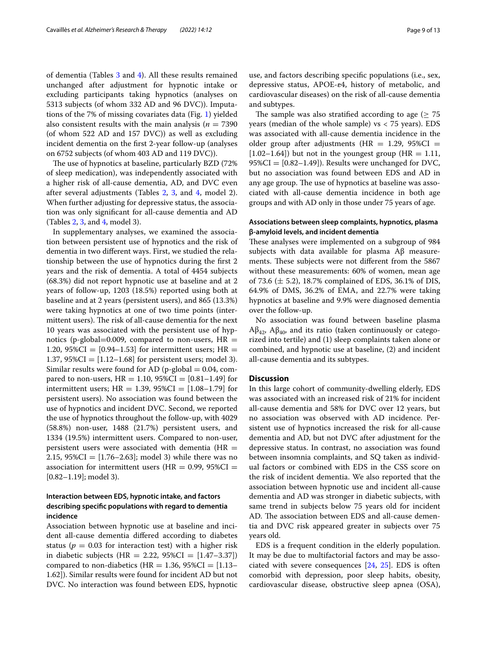of dementia (Tables [3](#page-6-0) and [4](#page-7-0)). All these results remained unchanged after adjustment for hypnotic intake or excluding participants taking hypnotics (analyses on 5313 subjects (of whom 332 AD and 96 DVC)). Imputations of the 7% of missing covariates data (Fig. [1](#page-3-0)) yielded also consistent results with the main analysis ( $n = 7390$ (of whom 522 AD and 157 DVC)) as well as excluding incident dementia on the frst 2-year follow-up (analyses on 6752 subjects (of whom 403 AD and 119 DVC)).

The use of hypnotics at baseline, particularly BZD (72%) of sleep medication), was independently associated with a higher risk of all-cause dementia, AD, and DVC even after several adjustments (Tables [2,](#page-5-0) [3,](#page-6-0) and [4,](#page-7-0) model 2). When further adjusting for depressive status, the association was only signifcant for all-cause dementia and AD (Tables [2](#page-5-0), [3,](#page-6-0) and [4,](#page-7-0) model 3).

In supplementary analyses, we examined the association between persistent use of hypnotics and the risk of dementia in two diferent ways. First, we studied the relationship between the use of hypnotics during the frst 2 years and the risk of dementia. A total of 4454 subjects (68.3%) did not report hypnotic use at baseline and at 2 years of follow-up, 1203 (18.5%) reported using both at baseline and at 2 years (persistent users), and 865 (13.3%) were taking hypnotics at one of two time points (intermittent users). The risk of all-cause dementia for the next 10 years was associated with the persistent use of hypnotics (p-global=0.009, compared to non-users,  $HR =$ 1.20, 95%CI =  $[0.94 - 1.53]$  for intermittent users; HR = 1.37,  $95\%CI = [1.12 - 1.68]$  for persistent users; model 3). Similar results were found for AD (p-global  $= 0.04$ , compared to non-users,  $HR = 1.10$ ,  $95\%CI = [0.81 - 1.49]$  for intermittent users;  $HR = 1.39, 95\%CI = [1.08-1.79]$  for persistent users). No association was found between the use of hypnotics and incident DVC. Second, we reported the use of hypnotics throughout the follow-up, with 4029 (58.8%) non-user, 1488 (21.7%) persistent users, and 1334 (19.5%) intermittent users. Compared to non-user, persistent users were associated with dementia  $(HR =$ 2.15,  $95\%CI = [1.76 - 2.63]$ ; model 3) while there was no association for intermittent users ( $HR = 0.99$ ,  $95\%CI =$ [0.82–1.19]; model 3).

## **Interaction between EDS, hypnotic intake, and factors describing specifc populations with regard to dementia incidence**

Association between hypnotic use at baseline and incident all-cause dementia difered according to diabetes status ( $p = 0.03$  for interaction test) with a higher risk in diabetic subjects (HR = 2.22,  $95\%CI = [1.47 - 3.37]$ ) compared to non-diabetics (HR = 1.36, 95%CI =  $[1.13-$ 1.62]). Similar results were found for incident AD but not DVC. No interaction was found between EDS, hypnotic use, and factors describing specifc populations (i.e., sex, depressive status, APOE-ɛ4, history of metabolic, and cardiovascular diseases) on the risk of all-cause dementia and subtypes.

The sample was also stratified according to age ( $\geq$  75 years (median of the whole sample) vs < 75 years). EDS was associated with all-cause dementia incidence in the older group after adjustments (HR  $= 1.29$ , 95%CI  $=$  $[1.02-1.64]$ ) but not in the youngest group (HR = 1.11,  $95\%CI = [0.82-1.49]$ . Results were unchanged for DVC, but no association was found between EDS and AD in any age group. The use of hypnotics at baseline was associated with all-cause dementia incidence in both age groups and with AD only in those under 75 years of age.

## **Associations between sleep complaints, hypnotics, plasma β‑amyloid levels, and incident dementia**

These analyses were implemented on a subgroup of 984 subjects with data available for plasma Aβ measurements. These subjects were not different from the 5867 without these measurements: 60% of women, mean age of 73.6 ( $\pm$  5.2), 18.7% complained of EDS, 36.1% of DIS, 64.9% of DMS, 36.2% of EMA, and 22.7% were taking hypnotics at baseline and 9.9% were diagnosed dementia over the follow-up.

No association was found between baseline plasma  $A\beta_{42}$ ,  $A\beta_{40}$ , and its ratio (taken continuously or categorized into tertile) and (1) sleep complaints taken alone or combined, and hypnotic use at baseline, (2) and incident all-cause dementia and its subtypes.

## **Discussion**

In this large cohort of community-dwelling elderly, EDS was associated with an increased risk of 21% for incident all-cause dementia and 58% for DVC over 12 years, but no association was observed with AD incidence. Persistent use of hypnotics increased the risk for all-cause dementia and AD, but not DVC after adjustment for the depressive status. In contrast, no association was found between insomnia complaints, and SQ taken as individual factors or combined with EDS in the CSS score on the risk of incident dementia. We also reported that the association between hypnotic use and incident all-cause dementia and AD was stronger in diabetic subjects, with same trend in subjects below 75 years old for incident AD. The association between EDS and all-cause dementia and DVC risk appeared greater in subjects over 75 years old.

EDS is a frequent condition in the elderly population. It may be due to multifactorial factors and may be associated with severe consequences [\[24](#page-11-17), [25](#page-11-18)]. EDS is often comorbid with depression, poor sleep habits, obesity, cardiovascular disease, obstructive sleep apnea (OSA),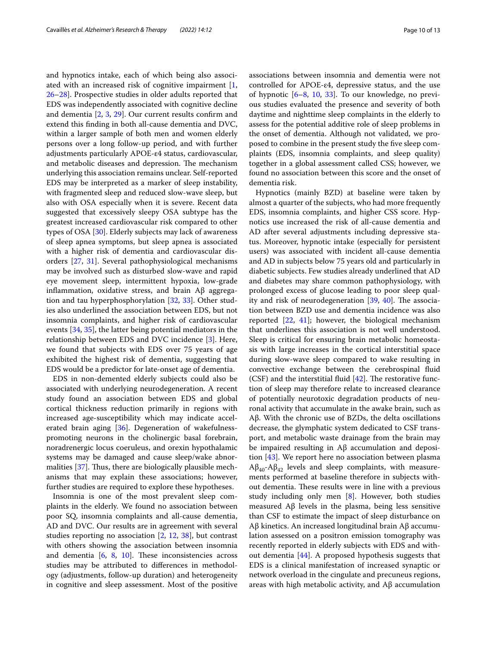and hypnotics intake, each of which being also associated with an increased risk of cognitive impairment [\[1](#page-11-0), [26–](#page-11-19)[28](#page-11-20)]. Prospective studies in older adults reported that EDS was independently associated with cognitive decline and dementia [[2,](#page-11-1) [3,](#page-11-3) [29\]](#page-11-21). Our current results confrm and extend this fnding in both all-cause dementia and DVC, within a larger sample of both men and women elderly persons over a long follow-up period, and with further adjustments particularly APOE-ε4 status, cardiovascular, and metabolic diseases and depression. The mechanism underlying this association remains unclear. Self-reported EDS may be interpreted as a marker of sleep instability, with fragmented sleep and reduced slow-wave sleep, but also with OSA especially when it is severe. Recent data suggested that excessively sleepy OSA subtype has the greatest increased cardiovascular risk compared to other types of OSA [\[30](#page-11-22)]. Elderly subjects may lack of awareness of sleep apnea symptoms, but sleep apnea is associated with a higher risk of dementia and cardiovascular disorders [[27,](#page-11-23) [31\]](#page-11-24). Several pathophysiological mechanisms may be involved such as disturbed slow-wave and rapid eye movement sleep, intermittent hypoxia, low-grade infammation, oxidative stress, and brain Aβ aggregation and tau hyperphosphorylation [\[32,](#page-11-25) [33](#page-12-0)]. Other studies also underlined the association between EDS, but not insomnia complaints, and higher risk of cardiovascular events [\[34](#page-12-1), [35\]](#page-12-2), the latter being potential mediators in the relationship between EDS and DVC incidence [[3\]](#page-11-3). Here, we found that subjects with EDS over 75 years of age exhibited the highest risk of dementia, suggesting that EDS would be a predictor for late-onset age of dementia.

EDS in non-demented elderly subjects could also be associated with underlying neurodegeneration. A recent study found an association between EDS and global cortical thickness reduction primarily in regions with increased age-susceptibility which may indicate accelerated brain aging [[36\]](#page-12-3). Degeneration of wakefulnesspromoting neurons in the cholinergic basal forebrain, noradrenergic locus coeruleus, and orexin hypothalamic systems may be damaged and cause sleep/wake abnormalities  $[37]$  $[37]$  $[37]$ . Thus, there are biologically plausible mechanisms that may explain these associations; however, further studies are required to explore these hypotheses.

Insomnia is one of the most prevalent sleep complaints in the elderly. We found no association between poor SQ, insomnia complaints and all-cause dementia, AD and DVC. Our results are in agreement with several studies reporting no association [\[2,](#page-11-1) [12](#page-11-26), [38](#page-12-5)], but contrast with others showing the association between insomnia and dementia  $[6, 8, 10]$  $[6, 8, 10]$  $[6, 8, 10]$  $[6, 8, 10]$  $[6, 8, 10]$  $[6, 8, 10]$  $[6, 8, 10]$ . These inconsistencies across studies may be attributed to diferences in methodology (adjustments, follow-up duration) and heterogeneity in cognitive and sleep assessment. Most of the positive associations between insomnia and dementia were not controlled for APOE-ε4, depressive status, and the use of hypnotic [[6–](#page-11-27)[8,](#page-11-6) [10,](#page-11-8) [33\]](#page-12-0). To our knowledge, no previous studies evaluated the presence and severity of both daytime and nighttime sleep complaints in the elderly to assess for the potential additive role of sleep problems in the onset of dementia. Although not validated, we proposed to combine in the present study the fve sleep complaints (EDS, insomnia complaints, and sleep quality) together in a global assessment called CSS; however, we found no association between this score and the onset of dementia risk.

Hypnotics (mainly BZD) at baseline were taken by almost a quarter of the subjects, who had more frequently EDS, insomnia complaints, and higher CSS score. Hypnotics use increased the risk of all-cause dementia and AD after several adjustments including depressive status. Moreover, hypnotic intake (especially for persistent users) was associated with incident all-cause dementia and AD in subjects below 75 years old and particularly in diabetic subjects. Few studies already underlined that AD and diabetes may share common pathophysiology, with prolonged excess of glucose leading to poor sleep quality and risk of neurodegeneration  $[39, 40]$  $[39, 40]$  $[39, 40]$ . The association between BZD use and dementia incidence was also reported [[22,](#page-11-15) [41\]](#page-12-8); however, the biological mechanism that underlines this association is not well understood. Sleep is critical for ensuring brain metabolic homeostasis with large increases in the cortical interstitial space during slow-wave sleep compared to wake resulting in convective exchange between the cerebrospinal fuid (CSF) and the interstitial fluid  $[42]$  $[42]$ . The restorative function of sleep may therefore relate to increased clearance of potentially neurotoxic degradation products of neuronal activity that accumulate in the awake brain, such as Aβ. With the chronic use of BZDs, the delta oscillations decrease, the glymphatic system dedicated to CSF transport, and metabolic waste drainage from the brain may be impaired resulting in Aβ accumulation and deposition [\[43\]](#page-12-10). We report here no association between plasma  $A\beta_{40}-A\beta_{42}$  levels and sleep complaints, with measurements performed at baseline therefore in subjects without dementia. These results were in line with a previous study including only men [[8\]](#page-11-6). However, both studies measured Aβ levels in the plasma, being less sensitive than CSF to estimate the impact of sleep disturbance on Aβ kinetics. An increased longitudinal brain Aβ accumulation assessed on a positron emission tomography was recently reported in elderly subjects with EDS and without dementia [[44\]](#page-12-11). A proposed hypothesis suggests that EDS is a clinical manifestation of increased synaptic or network overload in the cingulate and precuneus regions, areas with high metabolic activity, and Aβ accumulation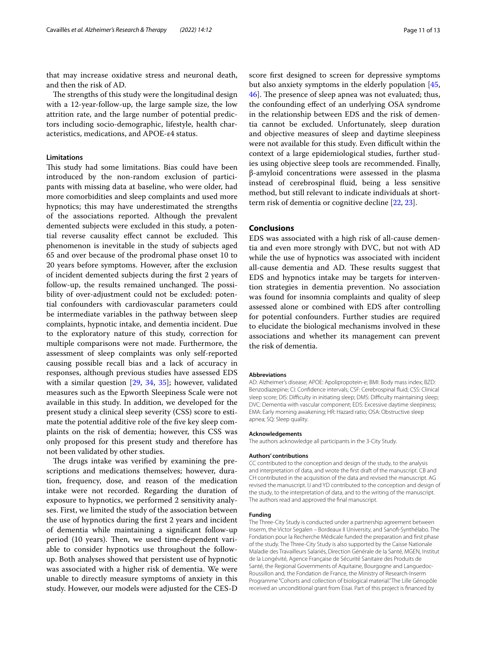that may increase oxidative stress and neuronal death, and then the risk of AD.

The strengths of this study were the longitudinal design with a 12-year-follow-up, the large sample size, the low attrition rate, and the large number of potential predictors including socio-demographic, lifestyle, health characteristics, medications, and APOE-ε4 status.

## **Limitations**

This study had some limitations. Bias could have been introduced by the non-random exclusion of participants with missing data at baseline, who were older, had more comorbidities and sleep complaints and used more hypnotics; this may have underestimated the strengths of the associations reported. Although the prevalent demented subjects were excluded in this study, a potential reverse causality effect cannot be excluded. This phenomenon is inevitable in the study of subjects aged 65 and over because of the prodromal phase onset 10 to 20 years before symptoms. However, after the exclusion of incident demented subjects during the frst 2 years of follow-up, the results remained unchanged. The possibility of over-adjustment could not be excluded: potential confounders with cardiovascular parameters could be intermediate variables in the pathway between sleep complaints, hypnotic intake, and dementia incident. Due to the exploratory nature of this study, correction for multiple comparisons were not made. Furthermore, the assessment of sleep complaints was only self-reported causing possible recall bias and a lack of accuracy in responses, although previous studies have assessed EDS with a similar question [[29,](#page-11-21) [34,](#page-12-1) [35\]](#page-12-2); however, validated measures such as the Epworth Sleepiness Scale were not available in this study. In addition, we developed for the present study a clinical sleep severity (CSS) score to estimate the potential additive role of the fve key sleep complaints on the risk of dementia; however, this CSS was only proposed for this present study and therefore has not been validated by other studies.

The drugs intake was verified by examining the prescriptions and medications themselves; however, duration, frequency, dose, and reason of the medication intake were not recorded. Regarding the duration of exposure to hypnotics, we performed 2 sensitivity analyses. First, we limited the study of the association between the use of hypnotics during the frst 2 years and incident of dementia while maintaining a signifcant follow-up period (10 years). Then, we used time-dependent variable to consider hypnotics use throughout the followup. Both analyses showed that persistent use of hypnotic was associated with a higher risk of dementia. We were unable to directly measure symptoms of anxiety in this study. However, our models were adjusted for the CES-D score frst designed to screen for depressive symptoms but also anxiety symptoms in the elderly population [[45](#page-12-12), [46\]](#page-12-13). The presence of sleep apnea was not evaluated; thus, the confounding efect of an underlying OSA syndrome in the relationship between EDS and the risk of dementia cannot be excluded. Unfortunately, sleep duration and objective measures of sleep and daytime sleepiness were not available for this study. Even difficult within the context of a large epidemiological studies, further studies using objective sleep tools are recommended. Finally, β-amyloid concentrations were assessed in the plasma instead of cerebrospinal fuid, being a less sensitive method, but still relevant to indicate individuals at shortterm risk of dementia or cognitive decline [[22,](#page-11-15) [23\]](#page-11-16).

## **Conclusions**

EDS was associated with a high risk of all-cause dementia and even more strongly with DVC, but not with AD while the use of hypnotics was associated with incident all-cause dementia and AD. These results suggest that EDS and hypnotics intake may be targets for intervention strategies in dementia prevention. No association was found for insomnia complaints and quality of sleep assessed alone or combined with EDS after controlling for potential confounders. Further studies are required to elucidate the biological mechanisms involved in these associations and whether its management can prevent the risk of dementia.

#### **Abbreviations**

AD: Alzheimer's disease; APOE: Apolipropotein-e; BMI: Body mass index; BZD: Benzodiazepine; CI: Confdence intervals; CSF: Cerebrospinal fuid; CSS: Clinical sleep score; DIS: Difficulty in initiating sleep; DMS: Difficulty maintaining sleep; DVC: Dementia with vascular component; EDS: Excessive daytime sleepiness; EMA: Early morning awakening; HR: Hazard ratio; OSA: Obstructive sleep apnea; SQ: Sleep quality.

#### **Acknowledgements**

The authors acknowledge all participants in the 3-City Study.

#### **Authors' contributions**

CC contributed to the conception and design of the study, to the analysis and interpretation of data, and wrote the frst draft of the manuscript. CB and CH contributed in the acquisition of the data and revised the manuscript. AG revised the manuscript. IJ and YD contributed to the conception and design of the study, to the interpretation of data, and to the writing of the manuscript. The authors read and approved the fnal manuscript.

### **Funding**

The Three-City Study is conducted under a partnership agreement between Inserm, the Victor Segalen – Bordeaux II University, and Sanof-Synthélabo. The Fondation pour la Recherche Médicale funded the preparation and frst phase of the study. The Three-City Study is also supported by the Caisse Nationale Maladie des Travailleurs Salariés, Direction Générale de la Santé, MGEN, Institut de la Longévité, Agence Française de Sécurité Sanitaire des Produits de Santé, the Regional Governments of Aquitaine, Bourgogne and Languedoc-Roussillon and, the Fondation de France, the Ministry of Research-Inserm Programme "Cohorts and collection of biological material." The Lille Génopôle received an unconditional grant from Eisai. Part of this project is fnanced by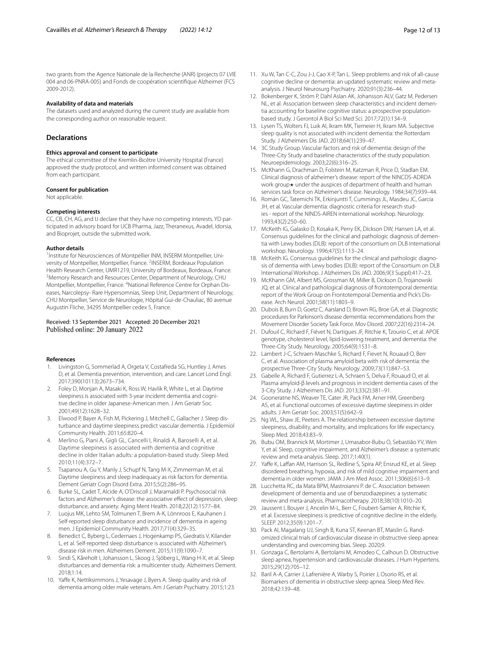two grants from the Agence Nationale de la Recherche (ANR) (projects 07 LVIE 004 and 06-PNRA-005) and Fonds de coopération scientifque Alzheimer (FCS 2009-2012).

## **Availability of data and materials**

The datasets used and analyzed during the current study are available from the corresponding author on reasonable request.

## **Declarations**

#### **Ethics approval and consent to participate**

The ethical committee of the Kremlin-Bicêtre University Hospital (France) approved the study protocol, and written informed consent was obtained from each participant.

#### **Consent for publication**

Not applicable.

#### **Competing interests**

CC, CB, CH, AG, and IJ declare that they have no competing interests. YD participated in advisory board for UCB Pharma, Jazz, Theranexus, Avadel, Idorsia, and Bioprojet, outside the submitted work.

## **Author details**

<sup>1</sup> Institute for Neurosciences of Montpellier INM, INSERM Montpellier, University of Montpellier, Montpellier, France. <sup>2</sup>INSERM, Bordeaux Population Health Research Center, UMR1219, University of Bordeaux, Bordeaux, France. 3 <sup>3</sup> Memory Research and Resources Center, Department of Neurology, CHU Montpellier, Montpellier, France. <sup>4</sup>National Reference Centre for Orphan Diseases, Narcolepsy- Rare Hypersomnias, Sleep Unit, Department of Neurology, CHU Montpellier, Service de Neurologie, Hôpital Gui-de-Chauliac, 80 avenue Augustin Fliche, 34295 Montpellier cedex 5, France.

# Received: 13 September 2021 Accepted: 20 December 2021

#### **References**

- <span id="page-11-0"></span>1. Livingston G, Sommerlad A, Orgeta V, Costafreda SG, Huntley J, Ames D, et al. Dementia prevention, intervention, and care. Lancet Lond Engl. 2017;390(10113):2673–734.
- <span id="page-11-1"></span>2. Foley D, Monjan A, Masaki K, Ross W, Havlik R, White L, et al. Daytime sleepiness is associated with 3-year incident dementia and cognitive decline in older Japanese-American men. J Am Geriatr Soc. 2001;49(12):1628–32.
- <span id="page-11-3"></span>3. Elwood P, Bayer A, Fish M, Pickering J, Mitchell C, Gallacher J. Sleep disturbance and daytime sleepiness predict vascular dementia. J Epidemiol Community Health. 2011;65:820–4.
- 4. Merlino G, Piani A, Gigli GL, Cancelli I, Rinaldi A, Baroselli A, et al. Daytime sleepiness is associated with dementia and cognitive decline in older Italian adults: a population-based study. Sleep Med. 2010;11(4):372–7.
- <span id="page-11-4"></span>5. Tsapanou A, Gu Y, Manly J, Schupf N, Tang M-X, Zimmerman M, et al. Daytime sleepiness and sleep inadequacy as risk factors for dementia. Dement Geriatr Cogn Disord Extra. 2015;5(2):286–95.
- <span id="page-11-27"></span>6. Burke SL, Cadet T, Alcide A, O'Driscoll J, Maramaldi P. Psychosocial risk factors and Alzheimer's disease: the associative effect of depression, sleep disturbance, and anxiety. Aging Ment Health. 2018;22(12):1577–84.
- <span id="page-11-7"></span>7. Luojus MK, Lehto SM, Tolmunen T, Brem A-K, Lönnroos E, Kauhanen J. Self-reported sleep disturbance and incidence of dementia in ageing men. J Epidemiol Community Health. 2017;71(4):329–35.
- <span id="page-11-6"></span>8. Benedict C, Byberg L, Cedernaes J, Hogenkamp PS, Giedratis V, Kilander L, et al. Self-reported sleep disturbance is associated with Alzheimer's disease risk in men. Alzheimers Dement. 2015;11(9):1090–7.
- 9. Sindi S, Kåreholt I, Johansson L, Skoog J, Sjöberg L, Wang H-X, et al. Sleep disturbances and dementia risk: a multicenter study. Alzheimers Dement. 2018;1:14.
- <span id="page-11-8"></span>10. Yafe K, Nettiksimmons J, Yesavage J, Byers A. Sleep quality and risk of dementia among older male veterans. Am J Geriatr Psychiatry. 2015;1:23.
- <span id="page-11-2"></span>11. Xu W, Tan C-C, Zou J-J, Cao X-P, Tan L. Sleep problems and risk of all-cause cognitive decline or dementia: an updated systematic review and metaanalysis. J Neurol Neurosurg Psychiatry. 2020;91(3):236–44.
- <span id="page-11-26"></span>12. Bokenberger K, Ström P, Dahl Aslan AK, Johansson ALV, Gatz M, Pedersen NL, et al. Association between sleep characteristics and incident dementia accounting for baseline cognitive status: a prospective populationbased study. J Gerontol A Biol Sci Med Sci. 2017;72(1):134–9.
- <span id="page-11-5"></span>13. Lysen TS, Wolters FJ, Luik AI, Ikram MK, Tiemeier H, Ikram MA. Subjective sleep quality is not associated with incident dementia: the Rotterdam Study. J Alzheimers Dis JAD. 2018;64(1):239–47.
- <span id="page-11-9"></span>14. 3C Study Group. Vascular factors and risk of dementia: design of the Three-City Study and baseline characteristics of the study population. Neuroepidemiology. 2003;22(6):316–25.
- <span id="page-11-10"></span>15. McKhann G, Drachman D, Folstein M, Katzman R, Price D, Stadlan EM. Clinical diagnosis of alzheimer's disease: report of the NINCDS-ADRDA work group★ under the auspices of department of health and human services task force on Alzheimer's disease. Neurology. 1984;34(7):939–44.
- <span id="page-11-11"></span>16. Román GC, Tatemichi TK, Erkinjuntti T, Cummings JL, Masdeu JC, Garcia JH, et al. Vascular dementia: diagnostic criteria for research studies - report of the NINDS-AIREN international workshop. Neurology. 1993;43(2):250–60.
- <span id="page-11-12"></span>17. McKeith IG, Galasko D, Kosaka K, Perry EK, Dickson DW, Hansen LA, et al. Consensus guidelines for the clinical and pathologic diagnosis of dementia with Lewy bodies (DLB): report of the consortium on DLB international workshop. Neurology. 1996;47(5):1113–24.
- 18. McKeith IG. Consensus guidelines for the clinical and pathologic diagnosis of dementia with Lewy bodies (DLB): report of the Consortium on DLB International Workshop. J Alzheimers Dis JAD. 2006;9(3 Suppl):417–23.
- 19. McKhann GM, Albert MS, Grossman M, Miller B, Dickson D, Trojanowski JQ, et al. Clinical and pathological diagnosis of frontotemporal dementia: report of the Work Group on Frontotemporal Dementia and Pick's Disease. Arch Neurol. 2001;58(11):1803–9.
- <span id="page-11-13"></span>20. Dubois B, Burn D, Goetz C, Aarsland D, Brown RG, Broe GA, et al. Diagnostic procedures for Parkinson's disease dementia: recommendations from the Movement Disorder Society Task Force. Mov Disord. 2007;22(16):2314–24.
- <span id="page-11-14"></span>21. Dufouil C, Richard F, Fiévet N, Dartigues JF, Ritchie K, Tzourio C, et al. APOE genotype, cholesterol level, lipid-lowering treatment, and dementia: the Three-City Study. Neurology. 2005;64(9):1531–8.
- <span id="page-11-15"></span>22. Lambert J-C, Schraen-Maschke S, Richard F, Fievet N, Rouaud O, Berr C, et al. Association of plasma amyloid beta with risk of dementia: the prospective Three-City Study. Neurology. 2009;73(11):847–53.
- <span id="page-11-16"></span>23. Gabelle A, Richard F, Gutierrez L-A, Schraen S, Delva F, Rouaud O, et al. Plasma amyloid-β levels and prognosis in incident dementia cases of the 3-City Study. J Alzheimers Dis JAD. 2013;33(2):381–91.
- <span id="page-11-17"></span>24. Gooneratne NS, Weaver TE, Cater JR, Pack FM, Arner HM, Greenberg AS, et al. Functional outcomes of excessive daytime sleepiness in older adults. J Am Geriatr Soc. 2003;51(5):642–9.
- <span id="page-11-18"></span>25. Ng WL, Shaw JE, Peeters A. The relationship between excessive daytime sleepiness, disability, and mortality, and implications for life expectancy. Sleep Med. 2018;43:83–9.
- <span id="page-11-19"></span>26. Bubu OM, Brannick M, Mortimer J, Umasabor-Bubu O, Sebastião YV, Wen Y, et al. Sleep, cognitive impairment, and Alzheimer's disease: a systematic review and meta-analysis. Sleep. 2017;1:40(1).
- <span id="page-11-23"></span>27. Yaffe K, Laffan AM, Harrison SL, Redline S, Spira AP, Ensrud KE, et al. Sleep disordered breathing, hypoxia, and risk of mild cognitive impairment and dementia in older women. JAMA J Am Med Assoc. 2011;306(6):613–9.
- <span id="page-11-20"></span>28. Lucchetta RC, da Mata BPM, Mastroianni P. de C. Association between development of dementia and use of benzodiazepines: a systematic review and meta-analysis. Pharmacotherapy. 2018;38(10):1010–20.
- <span id="page-11-21"></span>29. Jaussent I, Bouyer J, Ancelin M-L, Berr C, Foubert-Samier A, Ritchie K, et al. Excessive sleepiness is predictive of cognitive decline in the elderly. SLEEP. 2012;35(9):1201–7.
- <span id="page-11-22"></span>30. Pack AI, Magalang UJ, Singh B, Kuna ST, Keenan BT, Maislin G. Randomized clinical trials of cardiovascular disease in obstructive sleep apnea: understanding and overcoming bias. Sleep. 2020;9.
- <span id="page-11-24"></span>31. Gonzaga C, Bertolami A, Bertolami M, Amodeo C, Calhoun D. Obstructive sleep apnea, hypertension and cardiovascular diseases. J Hum Hypertens. 2015;29(12):705–12.
- <span id="page-11-25"></span>32. Baril A-A, Carrier J, Lafrenière A, Warby S, Poirier J, Osorio RS, et al. Biomarkers of dementia in obstructive sleep apnea. Sleep Med Rev. 2018;42:139–48.